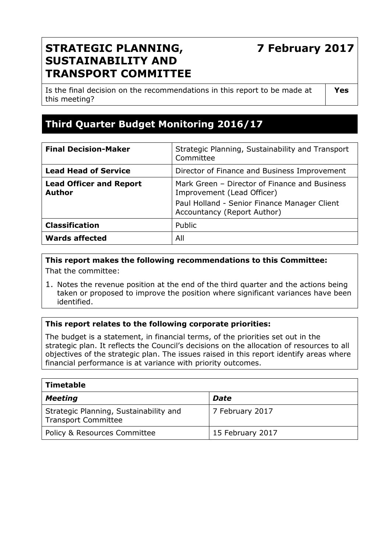# **7 February 2017**

## **STRATEGIC PLANNING, SUSTAINABILITY AND TRANSPORT COMMITTEE**

Is the final decision on the recommendations in this report to be made at this meeting?

**Yes** 

## **Third Quarter Budget Monitoring 2016/17**

| <b>Lead Head of Service</b><br>Director of Finance and Business Improvement<br>Mark Green - Director of Finance and Business<br><b>Lead Officer and Report</b><br><b>Author</b><br>Improvement (Lead Officer)<br>Paul Holland - Senior Finance Manager Client<br>Accountancy (Report Author)<br><b>Classification</b><br>Public | <b>Final Decision-Maker</b> | Strategic Planning, Sustainability and Transport<br>Committee |
|---------------------------------------------------------------------------------------------------------------------------------------------------------------------------------------------------------------------------------------------------------------------------------------------------------------------------------|-----------------------------|---------------------------------------------------------------|
|                                                                                                                                                                                                                                                                                                                                 |                             |                                                               |
|                                                                                                                                                                                                                                                                                                                                 |                             |                                                               |
|                                                                                                                                                                                                                                                                                                                                 |                             |                                                               |
|                                                                                                                                                                                                                                                                                                                                 |                             |                                                               |
| All                                                                                                                                                                                                                                                                                                                             | <b>Wards affected</b>       |                                                               |

#### **This report makes the following recommendations to this Committee:**  That the committee:

1. Notes the revenue position at the end of the third quarter and the actions being taken or proposed to improve the position where significant variances have been identified.

## **This report relates to the following corporate priorities:**

The budget is a statement, in financial terms, of the priorities set out in the strategic plan. It reflects the Council's decisions on the allocation of resources to all objectives of the strategic plan. The issues raised in this report identify areas where financial performance is at variance with priority outcomes.

| <b>Timetable</b>                                                     |                  |  |  |
|----------------------------------------------------------------------|------------------|--|--|
| <b>Meeting</b>                                                       | <b>Date</b>      |  |  |
| Strategic Planning, Sustainability and<br><b>Transport Committee</b> | 7 February 2017  |  |  |
| Policy & Resources Committee                                         | 15 February 2017 |  |  |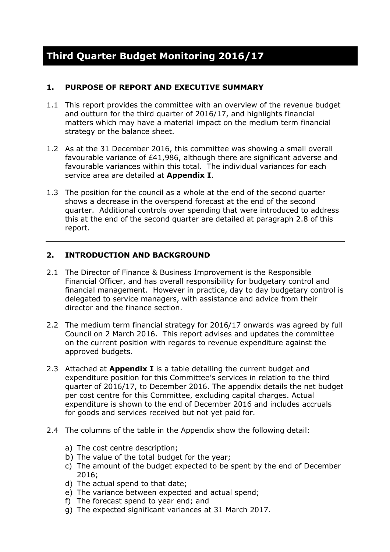### **1. PURPOSE OF REPORT AND EXECUTIVE SUMMARY**

- 1.1 This report provides the committee with an overview of the revenue budget and outturn for the third quarter of 2016/17, and highlights financial matters which may have a material impact on the medium term financial strategy or the balance sheet.
- 1.2 As at the 31 December 2016, this committee was showing a small overall favourable variance of £41,986, although there are significant adverse and favourable variances within this total. The individual variances for each service area are detailed at **Appendix I**.
- 1.3 The position for the council as a whole at the end of the second quarter shows a decrease in the overspend forecast at the end of the second quarter. Additional controls over spending that were introduced to address this at the end of the second quarter are detailed at paragraph 2.8 of this report.

#### **2. INTRODUCTION AND BACKGROUND**

- 2.1 The Director of Finance & Business Improvement is the Responsible Financial Officer, and has overall responsibility for budgetary control and financial management. However in practice, day to day budgetary control is delegated to service managers, with assistance and advice from their director and the finance section.
- 2.2 The medium term financial strategy for 2016/17 onwards was agreed by full Council on 2 March 2016. This report advises and updates the committee on the current position with regards to revenue expenditure against the approved budgets.
- 2.3 Attached at **Appendix I** is a table detailing the current budget and expenditure position for this Committee's services in relation to the third quarter of 2016/17, to December 2016. The appendix details the net budget per cost centre for this Committee, excluding capital charges. Actual expenditure is shown to the end of December 2016 and includes accruals for goods and services received but not yet paid for.
- 2.4 The columns of the table in the Appendix show the following detail:
	- a) The cost centre description;
	- b) The value of the total budget for the year;
	- c) The amount of the budget expected to be spent by the end of December 2016;
	- d) The actual spend to that date;
	- e) The variance between expected and actual spend;
	- f) The forecast spend to year end; and
	- g) The expected significant variances at 31 March 2017.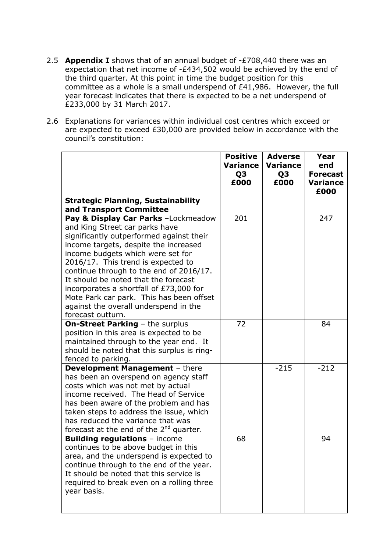- 2.5 **Appendix I** shows that of an annual budget of -£708,440 there was an expectation that net income of -£434,502 would be achieved by the end of the third quarter. At this point in time the budget position for this committee as a whole is a small underspend of £41,986. However, the full year forecast indicates that there is expected to be a net underspend of £233,000 by 31 March 2017.
- 2.6 Explanations for variances within individual cost centres which exceed or are expected to exceed £30,000 are provided below in accordance with the council's constitution:

|                                                                                                                                                                                                                                                                                                                                                                                                                                                                               | <b>Positive</b><br><b>Variance</b><br>Q3<br>£000 | <b>Adverse</b><br>Variance<br>Q3<br>£000 | Year<br>end<br><b>Forecast</b><br><b>Variance</b><br>£000 |
|-------------------------------------------------------------------------------------------------------------------------------------------------------------------------------------------------------------------------------------------------------------------------------------------------------------------------------------------------------------------------------------------------------------------------------------------------------------------------------|--------------------------------------------------|------------------------------------------|-----------------------------------------------------------|
| <b>Strategic Planning, Sustainability</b><br>and Transport Committee                                                                                                                                                                                                                                                                                                                                                                                                          |                                                  |                                          |                                                           |
| Pay & Display Car Parks -Lockmeadow<br>and King Street car parks have<br>significantly outperformed against their<br>income targets, despite the increased<br>income budgets which were set for<br>2016/17. This trend is expected to<br>continue through to the end of 2016/17.<br>It should be noted that the forecast<br>incorporates a shortfall of £73,000 for<br>Mote Park car park. This has been offset<br>against the overall underspend in the<br>forecast outturn. | 201                                              |                                          | 247                                                       |
| <b>On-Street Parking - the surplus</b><br>position in this area is expected to be<br>maintained through to the year end. It<br>should be noted that this surplus is ring-<br>fenced to parking.                                                                                                                                                                                                                                                                               | 72                                               |                                          | 84                                                        |
| <b>Development Management - there</b><br>has been an overspend on agency staff<br>costs which was not met by actual<br>income received. The Head of Service<br>has been aware of the problem and has<br>taken steps to address the issue, which<br>has reduced the variance that was<br>forecast at the end of the $2^{nd}$ quarter.                                                                                                                                          |                                                  | $-215$                                   | $-212$                                                    |
| <b>Building regulations - income</b><br>continues to be above budget in this<br>area, and the underspend is expected to<br>continue through to the end of the year.<br>It should be noted that this service is<br>required to break even on a rolling three<br>year basis.                                                                                                                                                                                                    | 68                                               |                                          | 94                                                        |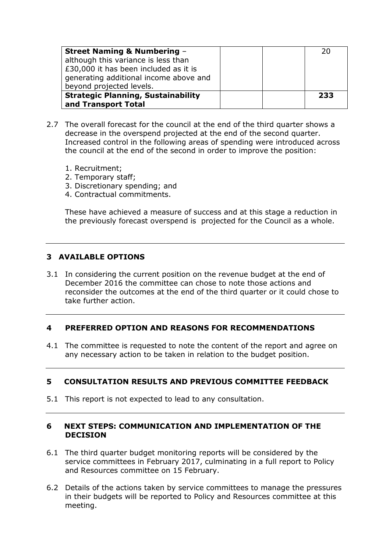| <b>Street Naming &amp; Numbering -</b>    | 20  |
|-------------------------------------------|-----|
| although this variance is less than       |     |
| £30,000 it has been included as it is     |     |
| generating additional income above and    |     |
| beyond projected levels.                  |     |
| <b>Strategic Planning, Sustainability</b> | 233 |
| and Transport Total                       |     |

- 2.7 The overall forecast for the council at the end of the third quarter shows a decrease in the overspend projected at the end of the second quarter. Increased control in the following areas of spending were introduced across the council at the end of the second in order to improve the position:
	- 1. Recruitment;
	- 2. Temporary staff;
	- 3. Discretionary spending; and
	- 4. Contractual commitments.

These have achieved a measure of success and at this stage a reduction in the previously forecast overspend is projected for the Council as a whole.

#### **3 AVAILABLE OPTIONS**

3.1 In considering the current position on the revenue budget at the end of December 2016 the committee can chose to note those actions and reconsider the outcomes at the end of the third quarter or it could chose to take further action.

#### **4 PREFERRED OPTION AND REASONS FOR RECOMMENDATIONS**

4.1 The committee is requested to note the content of the report and agree on any necessary action to be taken in relation to the budget position.

#### **5 CONSULTATION RESULTS AND PREVIOUS COMMITTEE FEEDBACK**

5.1 This report is not expected to lead to any consultation.

#### **6 NEXT STEPS: COMMUNICATION AND IMPLEMENTATION OF THE DECISION**

- 6.1 The third quarter budget monitoring reports will be considered by the service committees in February 2017, culminating in a full report to Policy and Resources committee on 15 February.
- 6.2 Details of the actions taken by service committees to manage the pressures in their budgets will be reported to Policy and Resources committee at this meeting.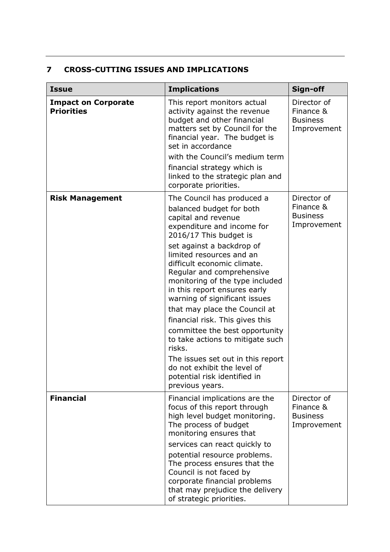## **7 CROSS-CUTTING ISSUES AND IMPLICATIONS**

| <b>Issue</b>                                    | <b>Implications</b>                                                                                                                                                                                                                                                                                                                                                                                                                                                                                                                                                                                                                       | Sign-off                                                   |
|-------------------------------------------------|-------------------------------------------------------------------------------------------------------------------------------------------------------------------------------------------------------------------------------------------------------------------------------------------------------------------------------------------------------------------------------------------------------------------------------------------------------------------------------------------------------------------------------------------------------------------------------------------------------------------------------------------|------------------------------------------------------------|
| <b>Impact on Corporate</b><br><b>Priorities</b> | This report monitors actual<br>activity against the revenue<br>budget and other financial<br>matters set by Council for the<br>financial year. The budget is<br>set in accordance<br>with the Council's medium term<br>financial strategy which is<br>linked to the strategic plan and<br>corporate priorities.                                                                                                                                                                                                                                                                                                                           | Director of<br>Finance &<br><b>Business</b><br>Improvement |
| <b>Risk Management</b>                          | The Council has produced a<br>balanced budget for both<br>capital and revenue<br>expenditure and income for<br>2016/17 This budget is<br>set against a backdrop of<br>limited resources and an<br>difficult economic climate.<br>Regular and comprehensive<br>monitoring of the type included<br>in this report ensures early<br>warning of significant issues<br>that may place the Council at<br>financial risk. This gives this<br>committee the best opportunity<br>to take actions to mitigate such<br>risks.<br>The issues set out in this report<br>do not exhibit the level of<br>potential risk identified in<br>previous years. | Director of<br>Finance &<br><b>Business</b><br>Improvement |
| <b>Financial</b>                                | Financial implications are the<br>focus of this report through<br>high level budget monitoring.<br>The process of budget<br>monitoring ensures that<br>services can react quickly to<br>potential resource problems.<br>The process ensures that the<br>Council is not faced by<br>corporate financial problems<br>that may prejudice the delivery<br>of strategic priorities.                                                                                                                                                                                                                                                            | Director of<br>Finance &<br><b>Business</b><br>Improvement |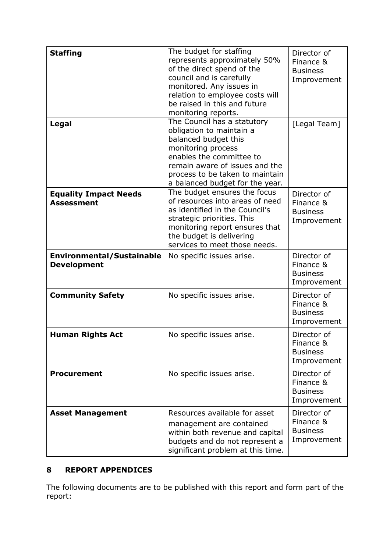| <b>Staffing</b><br>Legal                               | The budget for staffing<br>represents approximately 50%<br>of the direct spend of the<br>council and is carefully<br>monitored. Any issues in<br>relation to employee costs will<br>be raised in this and future<br>monitoring reports.<br>The Council has a statutory<br>obligation to maintain a<br>balanced budget this<br>monitoring process<br>enables the committee to | Director of<br>Finance &<br><b>Business</b><br>Improvement<br>[Legal Team] |
|--------------------------------------------------------|------------------------------------------------------------------------------------------------------------------------------------------------------------------------------------------------------------------------------------------------------------------------------------------------------------------------------------------------------------------------------|----------------------------------------------------------------------------|
|                                                        | remain aware of issues and the<br>process to be taken to maintain<br>a balanced budget for the year.                                                                                                                                                                                                                                                                         |                                                                            |
| <b>Equality Impact Needs</b><br><b>Assessment</b>      | The budget ensures the focus<br>of resources into areas of need<br>as identified in the Council's<br>strategic priorities. This<br>monitoring report ensures that<br>the budget is delivering<br>services to meet those needs.                                                                                                                                               | Director of<br>Finance &<br><b>Business</b><br>Improvement                 |
| <b>Environmental/Sustainable</b><br><b>Development</b> | No specific issues arise.                                                                                                                                                                                                                                                                                                                                                    | Director of<br>Finance &<br><b>Business</b><br>Improvement                 |
| <b>Community Safety</b>                                | No specific issues arise.                                                                                                                                                                                                                                                                                                                                                    | Director of<br>Finance &<br><b>Business</b><br>Improvement                 |
| <b>Human Rights Act</b>                                | No specific issues arise.                                                                                                                                                                                                                                                                                                                                                    | Director of<br>Finance &<br><b>Business</b><br>Improvement                 |
| <b>Procurement</b>                                     | No specific issues arise.                                                                                                                                                                                                                                                                                                                                                    | Director of<br>Finance &<br><b>Business</b><br>Improvement                 |
| <b>Asset Management</b>                                | Resources available for asset<br>management are contained<br>within both revenue and capital<br>budgets and do not represent a<br>significant problem at this time.                                                                                                                                                                                                          | Director of<br>Finance &<br><b>Business</b><br>Improvement                 |

## **8 REPORT APPENDICES**

The following documents are to be published with this report and form part of the report: